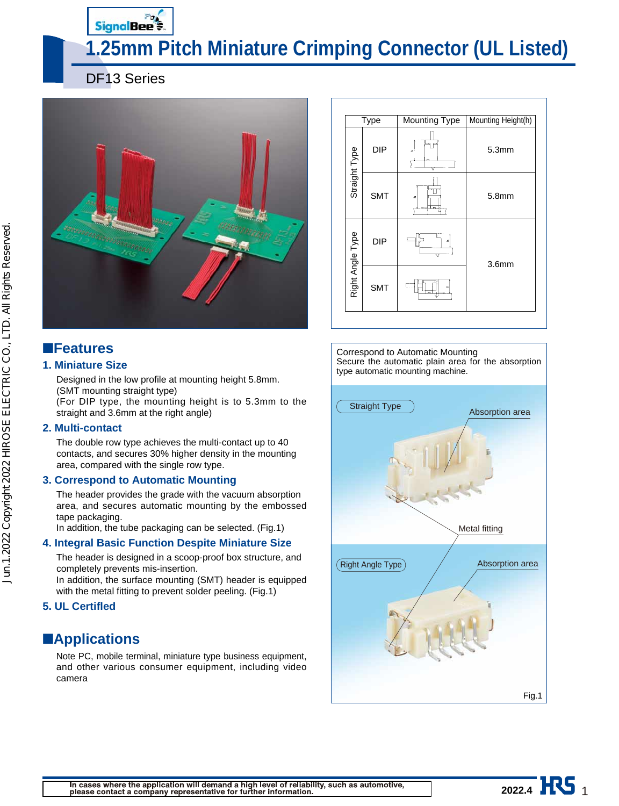# Signal Bee<sup>2</sup>

# **1.25mm Pitch Miniature Crimping Connector (UL Listed)**

DF13 Series



### ■**Features**

#### **1. Miniature Size**

Designed in the low profile at mounting height 5.8mm. (SMT mounting straight type)

(For DIP type, the mounting height is to 5.3mm to the straight and 3.6mm at the right angle)

#### **2. Multi-contact**

The double row type achieves the multi-contact up to 40 contacts, and secures 30% higher density in the mounting area, compared with the single row type.

#### **3. Correspond to Automatic Mounting**

The header provides the grade with the vacuum absorption area, and secures automatic mounting by the embossed tape packaging.

In addition, the tube packaging can be selected. (Fig.1)

#### **4. Integral Basic Function Despite Miniature Size**

The header is designed in a scoop-proof box structure, and completely prevents mis-insertion.

In addition, the surface mounting (SMT) header is equipped with the metal fitting to prevent solder peeling. (Fig.1)

#### **5. UL Certifled**

### ■**Applications**

Note PC, mobile terminal, miniature type business equipment, and other various consumer equipment, including video camera



Correspond to Automatic Mounting Secure the automatic plain area for the absorption type automatic mounting machine.



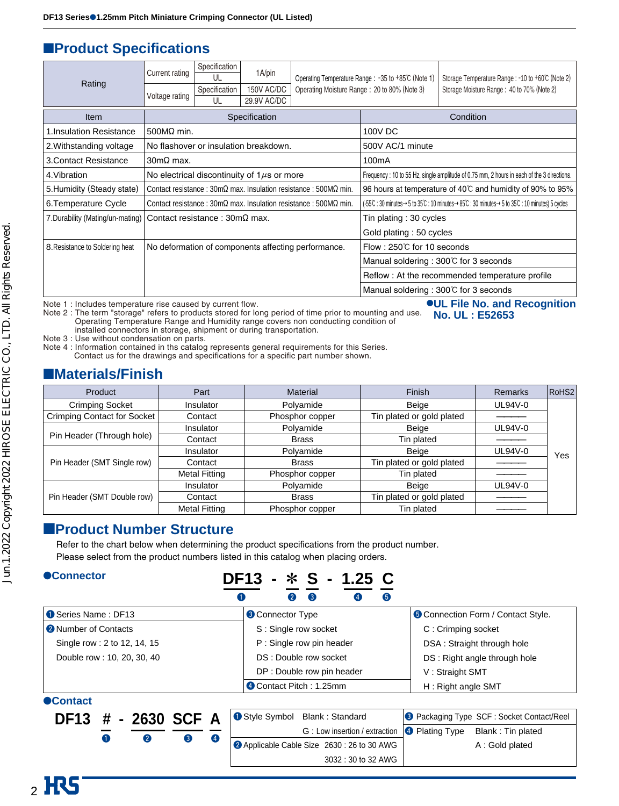### ■**Product Specifications**

| Rating                           | Current rating<br>Voltage rating             | Specification<br>UL<br>Specification<br>UL | 1A/pin<br>150V AC/DC<br>29.9V AC/DC             |                                                                                               | Storage Temperature Range : -10 to +60℃ (Note 2)<br>Operating Temperature Range : -35 to +85℃ (Note 1)<br>Operating Moisture Range: 20 to 80% (Note 3)<br>Storage Moisture Range: 40 to 70% (Note 2) |                                                                                           |  |  |  |
|----------------------------------|----------------------------------------------|--------------------------------------------|-------------------------------------------------|-----------------------------------------------------------------------------------------------|------------------------------------------------------------------------------------------------------------------------------------------------------------------------------------------------------|-------------------------------------------------------------------------------------------|--|--|--|
| <b>Item</b>                      |                                              |                                            | Specification                                   |                                                                                               |                                                                                                                                                                                                      | Condition                                                                                 |  |  |  |
| 1. Insulation Resistance         | $500M\Omega$ min.                            |                                            |                                                 |                                                                                               |                                                                                                                                                                                                      | 100V DC                                                                                   |  |  |  |
| 2. Withstanding voltage          |                                              |                                            | No flashover or insulation breakdown.           |                                                                                               | 500V AC/1 minute                                                                                                                                                                                     |                                                                                           |  |  |  |
| <b>3. Contact Resistance</b>     | $30 \text{m}\Omega$ max.                     |                                            |                                                 |                                                                                               | 100 <sub>m</sub> A                                                                                                                                                                                   |                                                                                           |  |  |  |
| 4. Vibration                     |                                              |                                            | No electrical discontinuity of $1\mu s$ or more |                                                                                               |                                                                                                                                                                                                      | Frequency: 10 to 55 Hz, single amplitude of 0.75 mm, 2 hours in each of the 3 directions. |  |  |  |
| 5. Humidity (Steady state)       |                                              |                                            |                                                 | Contact resistance: $30m\Omega$ max. Insulation resistance: $500M\Omega$ min.                 | 96 hours at temperature of 40°C and humidity of 90% to 95%                                                                                                                                           |                                                                                           |  |  |  |
| 6. Temperature Cycle             |                                              |                                            |                                                 | Contact resistance: $30 \text{m}\Omega$ max. Insulation resistance: $500 \text{M}\Omega$ min. | (-55℃ : 30 minutes→ 5 to 35℃ : 10 minutes→ 85℃ : 30 minutes→ 5 to 35℃ : 10 minutes) 5 cycles                                                                                                         |                                                                                           |  |  |  |
| 7. Durability (Mating/un-mating) | Contact resistance: $30 \text{m}\Omega$ max. |                                            |                                                 |                                                                                               | Tin plating: 30 cycles                                                                                                                                                                               |                                                                                           |  |  |  |
|                                  |                                              |                                            |                                                 |                                                                                               | Gold plating: 50 cycles                                                                                                                                                                              |                                                                                           |  |  |  |
| 8. Resistance to Soldering heat  |                                              |                                            |                                                 | No deformation of components affecting performance.                                           | Flow : 250℃ for 10 seconds                                                                                                                                                                           |                                                                                           |  |  |  |
|                                  |                                              |                                            |                                                 |                                                                                               |                                                                                                                                                                                                      | Manual soldering: 300°C for 3 seconds                                                     |  |  |  |
|                                  |                                              |                                            |                                                 |                                                                                               |                                                                                                                                                                                                      | Reflow: At the recommended temperature profile                                            |  |  |  |
|                                  |                                              |                                            |                                                 |                                                                                               | Manual soldering: 300°C for 3 seconds                                                                                                                                                                |                                                                                           |  |  |  |

Note 1 : Includes temperature rise caused by current flow.

Note 2 : The term "storage" refers to products stored for long period of time prior to mounting and use. Operating Temperature Range and Humidity range covers non conducting condition of installed connectors in storage, shipment or during transportation. ●**UL File No. and Recognition**

Note 3 : Use without condensation on parts.

Note 4 : Information contained in ths catalog represents general requirements for this Series.

Contact us for the drawings and specifications for a specific part number shown.

#### ■**Materials/Finish**

| Product                     | Finish<br>Material<br>Part |                 | Remarks                   | RoHS <sub>2</sub> |     |
|-----------------------------|----------------------------|-----------------|---------------------------|-------------------|-----|
| Crimping Socket             | Insulator                  | Polyamide       | Beige                     | UL94V-0           |     |
| Crimping Contact for Socket | Contact                    | Phosphor copper | Tin plated or gold plated |                   |     |
|                             | Insulator                  | Polyamide       | Beige                     | UL94V-0           |     |
| Pin Header (Through hole)   | Contact                    | <b>Brass</b>    | Tin plated                |                   |     |
|                             | Insulator                  | Polyamide       | Beige                     | UL94V-0           | Yes |
| Pin Header (SMT Single row) | Contact                    | <b>Brass</b>    | Tin plated or gold plated |                   |     |
|                             | <b>Metal Fitting</b>       | Phosphor copper | Tin plated                |                   |     |
|                             | Insulator                  | Polyamide       | Beige                     | UL94V-0           |     |
| Pin Header (SMT Double row) | Contact                    | <b>Brass</b>    | Tin plated or gold plated |                   |     |
|                             | <b>Metal Fitting</b>       | Phosphor copper | Tin plated                |                   |     |

**No. UL : E52653**

#### ■**Product Number Structure**

Refer to the chart below when determining the product specifications from the product number. Please select from the product numbers listed in this catalog when placing orders.

#### ●**Connector**

### **DF13 -** \* **S - 1.25 C**  $\begin{array}{ccc} 0 & \hspace{1.5mm} 0 & \hspace{1.5mm} 0 \hspace{1.5mm} \end{array} \hspace{1.2mm} \begin{array}{ccc} \circ & \hspace{1.5mm} 0 & \hspace{1.5mm} 0 & \hspace{1.5mm} 0 \end{array}$

| Series Name: DF13            | <b>8 Connector Type</b>    | <b>O</b> Connection Form / Contact Style. |
|------------------------------|----------------------------|-------------------------------------------|
| <b>2</b> Number of Contacts  | S: Single row socket       | C: Crimping socket                        |
| Single row : 2 to 12, 14, 15 | P: Single row pin header   | DSA: Straight through hole                |
| Double row: 10, 20, 30, 40   | DS: Double row socket      | DS: Right angle through hole              |
|                              | DP : Double row pin header | V: Straight SMT                           |
|                              | 4 Contact Pitch: 1.25mm    | H: Right angle SMT                        |

#### ●**Contact**

 $2$  HRS

| G: Low insertion / extraction   Plating Type Blank: Tin plated<br>$\overline{4}$<br>Applicable Cable Size 2630 : 26 to 30 AWG<br>A: Gold plated | DF13 # - 2630 SCF A |  |  | Style Symbol Blank: Standard | <b>8</b> Packaging Type SCF : Socket Contact/Reel |
|-------------------------------------------------------------------------------------------------------------------------------------------------|---------------------|--|--|------------------------------|---------------------------------------------------|
|                                                                                                                                                 |                     |  |  |                              |                                                   |
|                                                                                                                                                 |                     |  |  |                              |                                                   |
| 3032 : 30 to 32 AWG                                                                                                                             |                     |  |  |                              |                                                   |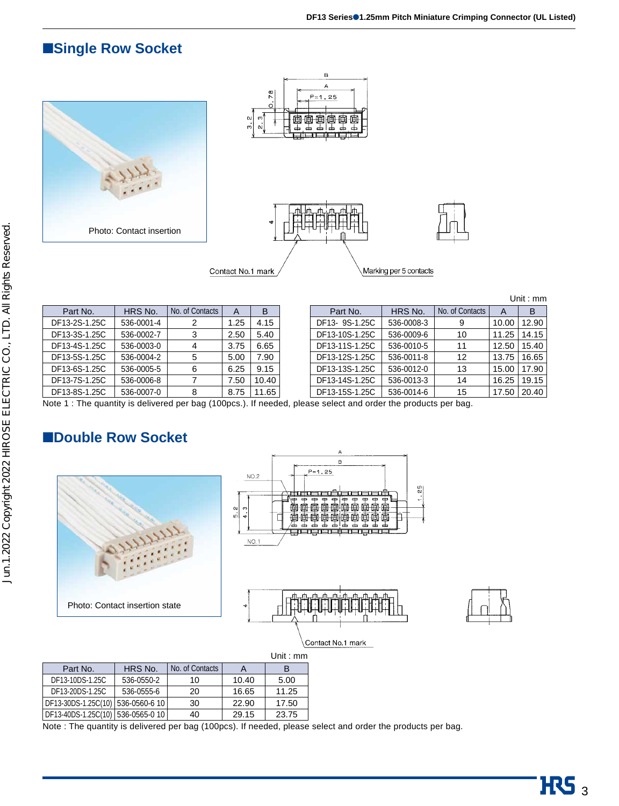### ■**Single Row Socket**





|  | Unit : $mm$ |
|--|-------------|
|  |             |
|  |             |

| Part No.      | HRS No.    | No. of Contacts | A    | B     | Part No.       | HRS No.    | No. of Contacts | A     | в     |
|---------------|------------|-----------------|------|-------|----------------|------------|-----------------|-------|-------|
| DF13-2S-1.25C | 536-0001-4 |                 | .25  | 4.15  | DF13-9S-1.25C  | 536-0008-3 | 9               | 10.00 | 12.90 |
| DF13-3S-1.25C | 536-0002-7 |                 | 2.50 | 5.40  | DF13-10S-1.25C | 536-0009-6 | 10              | 11.25 | 14.15 |
| DF13-4S-1.25C | 536-0003-0 | 4               | 3.75 | 6.65  | DF13-11S-1.25C | 536-0010-5 | 11              | 12.50 | 15.40 |
| DF13-5S-1.25C | 536-0004-2 | 5               | 5.00 | 7.90  | DF13-12S-1.25C | 536-0011-8 | 12              | 13.75 | 16.65 |
| DF13-6S-1.25C | 536-0005-5 | 6               | 6.25 | 9.15  | DF13-13S-1.25C | 536-0012-0 | 13              | 15.00 | 17.90 |
| DF13-7S-1.25C | 536-0006-8 |                 | 7.50 | 10.40 | DF13-14S-1.25C | 536-0013-3 | 14              | 16.25 | 19.15 |
| DF13-8S-1.25C | 536-0007-0 | 8               | 8.75 | .65   | DF13-15S-1.25C | 536-0014-6 | 15              | 17.50 | 20.40 |

Note 1 : The quantity is delivered per bag (100pcs.). If needed, please select and order the products per bag.

### ■**Double Row Socket**



| Part No.                            | HRS No.    | No. of Contacts | A     | в     |
|-------------------------------------|------------|-----------------|-------|-------|
| DF13-10DS-1.25C                     | 536-0550-2 | 10              | 10.40 | 5.00  |
| DF13-20DS-1.25C                     | 536-0555-6 | 20              | 16.65 | 11.25 |
| DF13-30DS-1.25C(10)   536-0560-6 10 |            | 30              | 22.90 | 17.50 |
| DF13-40DS-1.25C(10)   536-0565-0 10 |            | 40              | 29.15 | 23.75 |

Note : The quantity is delivered per bag (100pcs). If needed, please select and order the products per bag.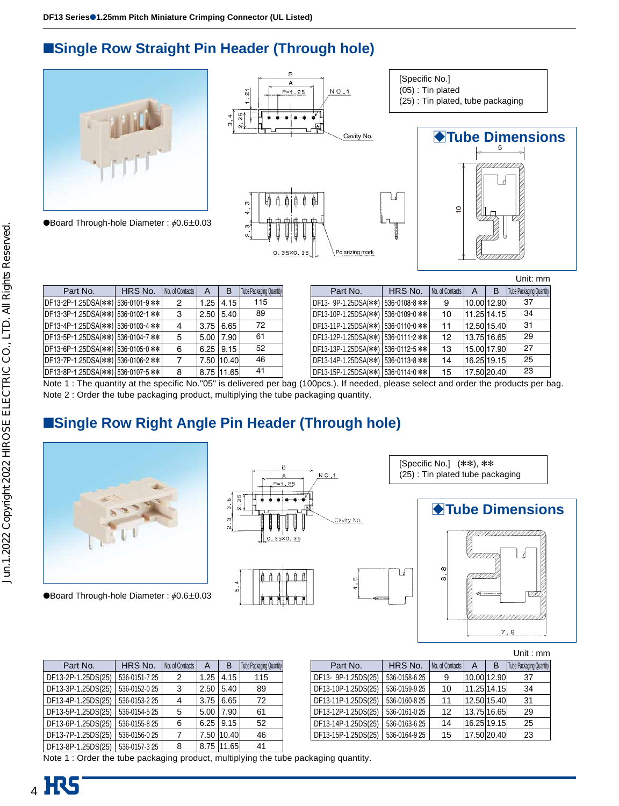### ■**Single Row Straight Pin Header (Through hole)**



**OBoard Through-hole Diameter:**  $\phi$ **0.6** $\pm$ **0.03** 





| Part No.                          | HRS No. | No. of Contacts | $\overline{A}$ | B                | <b>Tube Packaging Quantity</b> | Part No.                          | HRS No. |
|-----------------------------------|---------|-----------------|----------------|------------------|--------------------------------|-----------------------------------|---------|
| DF13-2P-1.25DSA(**) 536-0101-9 ** |         | 2               | 1.25           | 4.15             | 115                            | DF13- 9P-1.25DSA(**) 536-0108-8 * |         |
| DF13-3P-1.25DSA(**) 536-0102-1 ** |         | 3               | 2.50           | 5.40             | 89                             | DF13-10P-1.25DSA(**) 536-0109-0 * |         |
| DF13-4P-1.25DSA(**) 536-0103-4 ** |         | 4               |                | $3.75 \mid 6.65$ | 72                             | DF13-11P-1.25DSA(**) 536-0110-0 * |         |
| DF13-5P-1.25DSA(**) 536-0104-7 ** |         | 5               |                | $5.00$   $7.90$  | 61                             | DF13-12P-1.25DSA(**) 536-0111-2 * |         |
| DF13-6P-1.25DSA(**) 536-0105-0 ** |         | 6               |                | $6.25$ 9.15      | 52                             | DF13-13P-1.25DSA(**) 536-0112-5 * |         |
| DF13-7P-1.25DSA(**) 536-0106-2 ** |         |                 |                | 7.50 10.40       | 46                             | DF13-14P-1.25DSA(**) 536-0113-8 * |         |
| DF13-8P-1.25DSA(**) 536-0107-5 ** |         | 8               |                | 8.75 11.65       | 41                             | DF13-15P-1.25DSA(**) 536-0114-0 * |         |

|                      |               |                 |   |             | Unit: mm                |
|----------------------|---------------|-----------------|---|-------------|-------------------------|
| Part No.             | HRS No.       | No. of Contacts | A | B           | Tube Packaging Quantity |
| DF13- 9P-1.25DSA(**) | 536-0108-8 ** | 9               |   | 10.00 12.90 | 37                      |
| DF13-10P-1.25DSA(**) | 536-0109-0 ** | 10              |   | 11.25 14.15 | 34                      |
| DF13-11P-1.25DSA(**) | 536-0110-0 ** | 11              |   | 12.50 15.40 | 31                      |
| DF13-12P-1.25DSA(**) | 536-0111-2 ** | 12              |   | 13.75 16.65 | 29                      |
| DF13-13P-1.25DSA(**) | 536-0112-5 ** | 13              |   | 15.00 17.90 | 27                      |
| DF13-14P-1.25DSA(**) | 536-0113-8 ** | 14              |   | 16.25 19.15 | 25                      |
| DF13-15P-1.25DSA(**) | 536-0114-0 ** | 15              |   | 17.50 20.40 | 23                      |

[Specific No.] (05) : Tin plated

(25) : Tin plated, tube packaging

Note 1 : The quantity at the specific No."05" is delivered per bag (100pcs.). If needed, please select and order the products per bag. Note 2 : Order the tube packaging product, multiplying the tube packaging quantity.

### ■**Single Row Right Angle Pin Header (Through hole)**



**OBoard Through-hole Diameter :**  $\phi$ **0.6 ± 0.03** 

| ◡<br>$N$ O $\overline{1}$<br>Α<br>$P = 1.25$<br>유]<br>ი<br>ი<br>ω,<br>A<br>ო<br>٠<br>Ų<br>αi,<br>Ψ<br>Ų<br>Ų<br>Ψ<br>0.35×0.35 | Cavity No.  |
|--------------------------------------------------------------------------------------------------------------------------------|-------------|
| ì<br>4<br>ທ່<br>Ħ<br>Ħ<br>÷                                                                                                    | m<br>4<br>G |

[Specific No.] (\*\*), \*\* (25) : Tin plated tube packaging



| Part No.           | HRS No.       | No. of Contacts | A    | В          | <b>Tube Packaging Quantity</b> |
|--------------------|---------------|-----------------|------|------------|--------------------------------|
| DF13-2P-1.25DS(25) | 536-0151-7 25 | 2               | 1.25 | 4.15       | 115                            |
| DF13-3P-1.25DS(25) | 536-0152-025  | 3               | 2.50 | 5.40       | 89                             |
| DF13-4P-1.25DS(25) | 536-0153-2 25 | 4               | 3.75 | 6.65       | 72                             |
| DF13-5P-1.25DS(25) | 536-0154-5 25 | 5               | 5.00 | 7.90       | 61                             |
| DF13-6P-1.25DS(25) | 536-0155-8 25 | 6               | 6.25 | 9.15       | 52                             |
| DF13-7P-1.25DS(25) | 536-0156-025  | 7               | 7.50 | 10.40      | 46                             |
| DF13-8P-1.25DS(25) | 536-0157-325  | 8               |      | 8.75 11.65 | 41                             |

37 34 31 29 25 23 Tube Packaging Quantity Part No. FRS No. DF13- 9P-1.25DS(25) DF13-10P-1.25DS(25) DF13-11P-1.25DS(25) DF13-12P-1.25DS(25) DF13-14P-1.25DS(25) DF13-15P-1.25DS(25) 536-0158-6 25 536-0159-9 25 536-0160-8 25 536-0161-0 25 536-0163-6 25 536-0164-9 25 9 10 11 12 14 15 10.00 12.90 11.25 14.15 12.50 15.40 13.75 16.65 16.25 19.15 17.50 20.40 No. of Contacts | A | B

U

 $\leftarrow$ 

Note 1 : Order the tube packaging product, multiplying the tube packaging quantity.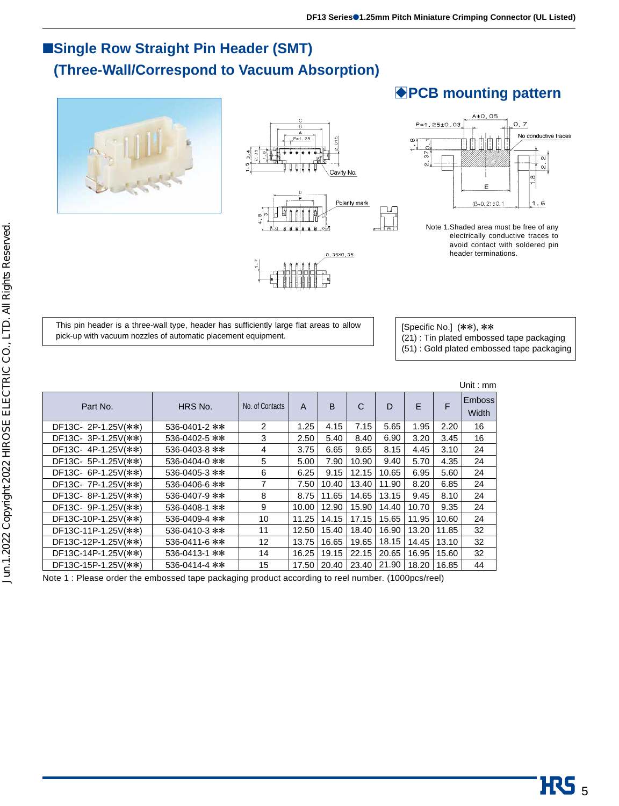### ■**Single Row Straight Pin Header (SMT) (Three-Wall/Correspond to Vacuum Absorption)**









### **BPCB mounting pattern**



Note 1.Shaded area must be free of any electrically conductive traces to avoid contact with soldered pin header terminations.

This pin header is a three-wall type, header has sufficiently large flat areas to allow pick-up with vacuum nozzles of automatic placement equipment.

[Specific No.] (\*\*), \*\*

(21) : Tin plated embossed tape packaging

(51) : Gold plated embossed tape packaging

|               |                 |              |       |              |       |       |       | Unit: mm                      |
|---------------|-----------------|--------------|-------|--------------|-------|-------|-------|-------------------------------|
| HRS No.       | No. of Contacts | $\mathsf{A}$ | B     | $\mathsf{C}$ | D     | E     | F     | <b>Emboss</b><br><b>Width</b> |
| 536-0401-2 ** | 2               | 1.25         | 4.15  | 7.15         | 5.65  | 1.95  | 2.20  | 16                            |
| 536-0402-5 ** | 3               | 2.50         | 5.40  | 8.40         | 6.90  | 3.20  | 3.45  | 16                            |
| 536-0403-8 ** | 4               | 3.75         | 6.65  | 9.65         | 8.15  | 4.45  | 3.10  | 24                            |
| 536-0404-0 ** | 5               | 5.00         | 7.90  | 10.90        | 9.40  | 5.70  | 4.35  | 24                            |
| 536-0405-3 ** | 6               | 6.25         | 9.15  | 12.15        | 10.65 | 6.95  | 5.60  | 24                            |
| 536-0406-6 ** | $\overline{7}$  | 7.50         | 10.40 | 13.40        | 11.90 | 8.20  | 6.85  | 24                            |
| 536-0407-9 ** | 8               | 8.75         | 11.65 | 14.65        | 13.15 | 9.45  | 8.10  | 24                            |
| 536-0408-1 ** | 9               | 10.00        | 12.90 | 15.90        | 14.40 | 10.70 | 9.35  | 24                            |
| 536-0409-4 ** | 10              | 11.25        | 14.15 | 17.15        | 15.65 | 11.95 | 10.60 | 24                            |
| 536-0410-3 ** | 11              | 12.50        | 15.40 | 18.40        | 16.90 | 13.20 | 11.85 | 32                            |
| 536-0411-6 ** | 12              | 13.75        | 16.65 | 19.65        | 18.15 | 14.45 | 13.10 | 32                            |
| 536-0413-1 ** | 14              | 16.25        | 19.15 | 22.15        | 20.65 | 16.95 | 15.60 | 32                            |
| 536-0414-4 ** | 15              | 17.50        | 20.40 | 23.40        | 21.90 | 18.20 | 16.85 | 44                            |
|               |                 |              |       |              |       |       |       |                               |

Note 1 : Please order the embossed tape packaging product according to reel number. (1000pcs/reel)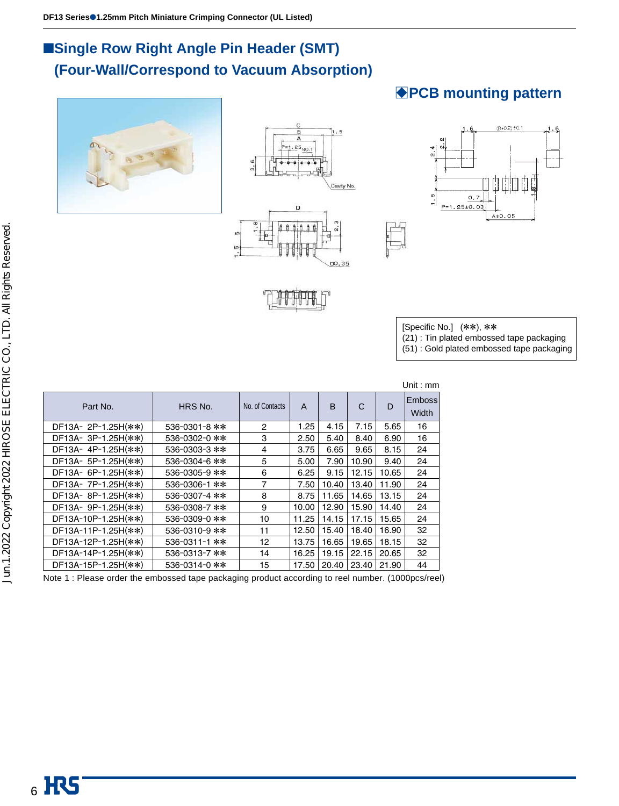### ■**Single Row Right Angle Pin Header (SMT)** ■**(Four-Wall/Correspond to Vacuum Absorption)**







# **BPCB mounting pattern**



[Specific No.] (\*\*), \*\*

(21) : Tin plated embossed tape packaging

(51) : Gold plated embossed tape packaging

|                     |               |                 |       |       |       |       | Unit: $mm$             |
|---------------------|---------------|-----------------|-------|-------|-------|-------|------------------------|
| Part No.            | HRS No.       | No. of Contacts | A     | B     | С     | D     | <b>Emboss</b><br>Width |
| DF13A-2P-1.25H(**)  | 536-0301-8 ** | 2               | 1.25  | 4.15  | 7.15  | 5.65  | 16                     |
| DF13A-3P-1.25H(**)  | 536-0302-0 ** | 3               | 2.50  | 5.40  | 8.40  | 6.90  | 16                     |
| DF13A-4P-1.25H(**)  | 536-0303-3 ** | 4               | 3.75  | 6.65  | 9.65  | 8.15  | 24                     |
| DF13A- 5P-1.25H(**) | 536-0304-6 ** | 5               | 5.00  | 7.90  | 10.90 | 9.40  | 24                     |
| DF13A- 6P-1.25H(**) | 536-0305-9 ** | 6               | 6.25  | 9.15  | 12.15 | 10.65 | 24                     |
| DF13A- 7P-1.25H(**) | 536-0306-1 ** | 7               | 7.50  | 10.40 | 13.40 | 11.90 | 24                     |
| DF13A-8P-1.25H(**)  | 536-0307-4 ** | 8               | 8.75  | 11.65 | 14.65 | 13.15 | 24                     |
| DF13A- 9P-1.25H(**) | 536-0308-7 ** | 9               | 10.00 | 12.90 | 15.90 | 14.40 | 24                     |
| DF13A-10P-1.25H(**) | 536-0309-0 ** | 10              | 11.25 | 14.15 | 17.15 | 15.65 | 24                     |
| DF13A-11P-1.25H(**) | 536-0310-9 ** | 11              | 12.50 | 15.40 | 18.40 | 16.90 | 32                     |
| DF13A-12P-1.25H(**) | 536-0311-1 ** | 12              | 13.75 | 16.65 | 19.65 | 18.15 | 32                     |
| DF13A-14P-1.25H(**) | 536-0313-7 ** | 14              | 16.25 | 19.15 | 22.15 | 20.65 | 32                     |
| DF13A-15P-1.25H(**) | 536-0314-0 ** | 15              | 17.50 | 20.40 | 23.40 | 21.90 | 44                     |
|                     |               |                 |       |       |       |       |                        |

Note 1 : Please order the embossed tape packaging product according to reel number. (1000pcs/reel)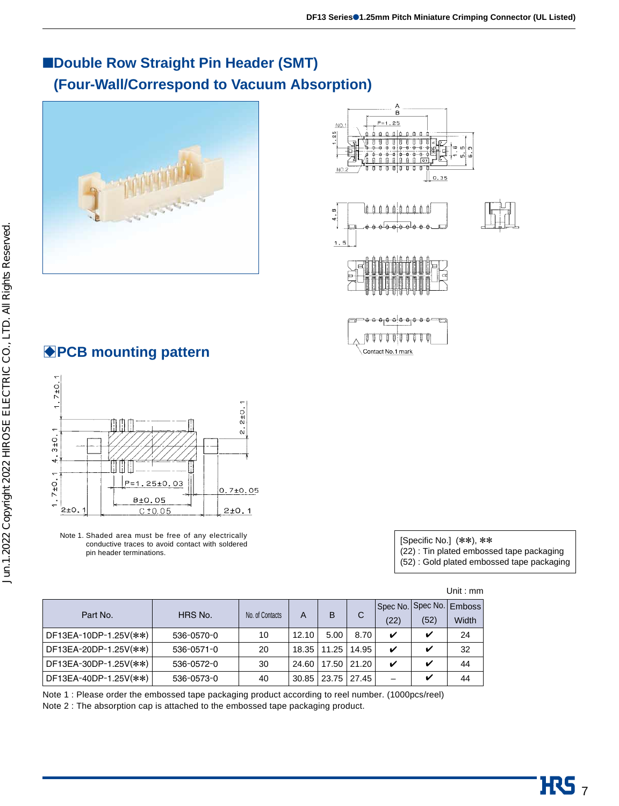### ■**Double Row Straight Pin Header (SMT)** ■**(Four-Wall/Correspond to Vacuum Absorption)**





### **BPCB mounting pattern**



Note 1. Shaded area must be free of any electrically conductive traces to avoid contact with soldered pin header terminations.

| [Specific No.] $(**), **$                 |
|-------------------------------------------|
| (22): Tin plated embossed tape packaging  |
| (52): Gold plated embossed tape packaging |

| Part No.              | HRS No.    | No. of Contacts | A     | B     | С     | (22) | Spec No. Spec No. Emboss<br>(52) | Width |
|-----------------------|------------|-----------------|-------|-------|-------|------|----------------------------------|-------|
| DF13EA-10DP-1.25V(**) | 536-0570-0 | 10              | 12.10 | 5.00  | 8.70  | ✓    | v                                | 24    |
| DF13EA-20DP-1.25V(**) | 536-0571-0 | 20              | 18.35 | 11.25 | 14.95 | ✔    | ✔                                | 32    |
| DF13EA-30DP-1.25V(**) | 536-0572-0 | 30              | 24.60 | 17.50 | 21.20 | ✔    | ✔                                | 44    |
| DF13EA-40DP-1.25V(**) | 536-0573-0 | 40              | 30.85 | 23.75 | 27.45 |      | ✔                                | 44    |

(52) : Gold plated embossed tape packaging

|                                                                                | Note 1: Please order the embossed tape packaging product according to reel number. (1000pcs/reel) |
|--------------------------------------------------------------------------------|---------------------------------------------------------------------------------------------------|
| Note 2: The absorption cap is attached to the embossed tape packaging product. |                                                                                                   |

Unit : mm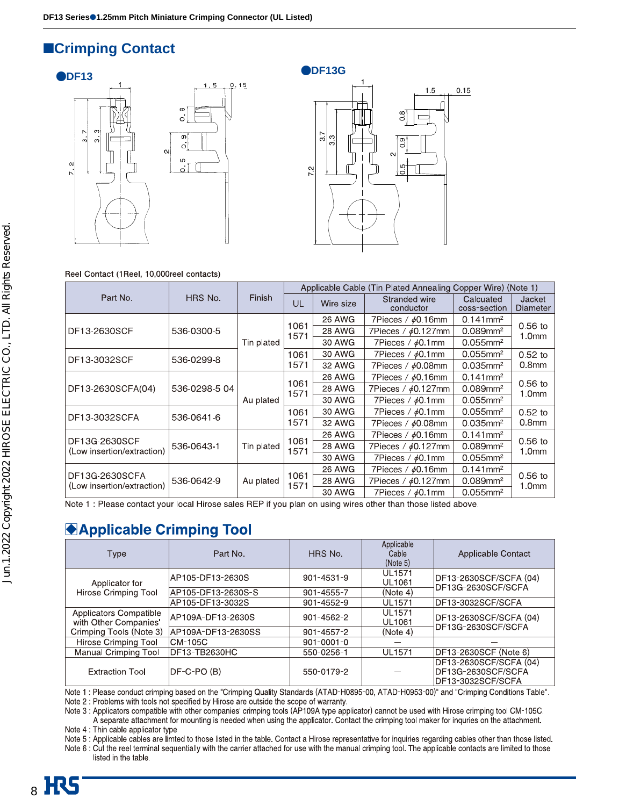### ■**Crimping Contact**





#### Reel Contact (1Reel, 10,000reel contacts)

|                                              |               |            | Applicable Cable (Tin Plated Annealing Copper Wire) (Note 1) |               |                            |                           |                                  |  |  |  |  |  |  |  |  |        |
|----------------------------------------------|---------------|------------|--------------------------------------------------------------|---------------|----------------------------|---------------------------|----------------------------------|--|--|--|--|--|--|--|--|--------|
| Part No.                                     | HRS No.       | Finish     | UL                                                           | Wire size     | Stranded wire<br>conductor | Calcuated<br>coss-section | <b>Jacket</b><br><b>Diameter</b> |  |  |  |  |  |  |  |  |        |
|                                              |               |            |                                                              | 26 AWG        | 7Pieces / $\phi$ 0.16mm    | $0.141$ mm <sup>2</sup>   |                                  |  |  |  |  |  |  |  |  |        |
| DF13-2630SCF                                 | 536-0300-5    |            | 1061<br>1571                                                 | <b>28 AWG</b> | 7Pieces / $\phi$ 0.127mm   | $0.089$ mm <sup>2</sup>   | $0.56$ to<br>1.0 <sub>mm</sub>   |  |  |  |  |  |  |  |  |        |
|                                              |               | Tin plated |                                                              | 30 AWG        | 7Pieces / $\phi$ 0.1mm     | $0.055$ mm <sup>2</sup>   |                                  |  |  |  |  |  |  |  |  |        |
| DF13-3032SCF                                 | 536-0299-8    |            | 1061                                                         | 30 AWG        | 7Pieces / $\phi$ 0.1mm     | $0.055$ mm <sup>2</sup>   | $0.52$ to                        |  |  |  |  |  |  |  |  |        |
|                                              |               |            | 1571                                                         | 32 AWG        | 7Pieces / $\phi$ 0.08mm    | $0.035$ mm <sup>2</sup>   | 0.8 <sub>mm</sub>                |  |  |  |  |  |  |  |  |        |
|                                              | 536-0298-5 04 | Au plated  | 1061<br>1571                                                 | <b>26 AWG</b> | 7Pieces / $\phi$ 0.16mm    | $0.141$ mm <sup>2</sup>   | $0.56$ to<br>1.0 <sub>mm</sub>   |  |  |  |  |  |  |  |  |        |
| DF13-2630SCFA(04)                            |               |            |                                                              | <b>28 AWG</b> | 7Pieces / $\phi$ 0.127mm   | $0.089$ mm <sup>2</sup>   |                                  |  |  |  |  |  |  |  |  |        |
|                                              |               |            |                                                              |               |                            |                           |                                  |  |  |  |  |  |  |  |  | 30 AWG |
| DF13-3032SCFA                                | 536-0641-6    |            | 1061                                                         | 30 AWG        | 7Pieces / $\phi$ 0.1mm     | $0.055$ mm <sup>2</sup>   | $0.52$ to                        |  |  |  |  |  |  |  |  |        |
|                                              |               |            | 1571                                                         | 32 AWG        | 7Pieces / ¢0.08mm          | $0.035$ mm <sup>2</sup>   | 0.8 <sub>mm</sub>                |  |  |  |  |  |  |  |  |        |
|                                              |               |            |                                                              | <b>26 AWG</b> | 7Pieces / $\phi$ 0.16mm    | $0.141$ mm <sup>2</sup>   |                                  |  |  |  |  |  |  |  |  |        |
| DF13G-2630SCF<br>(Low insertion/extraction)  | 536-0643-1    | Tin plated | 1061<br>1571                                                 | <b>28 AWG</b> | 7Pieces / $\phi$ 0.127mm   | $0.089$ mm <sup>2</sup>   | $0.56$ to<br>1.0mm               |  |  |  |  |  |  |  |  |        |
|                                              |               |            |                                                              | 30 AWG        | 7Pieces / $\phi$ 0.1mm     | $0.055$ mm <sup>2</sup>   |                                  |  |  |  |  |  |  |  |  |        |
|                                              |               | Au plated  |                                                              | 26 AWG        | 7Pieces / $\phi$ 0.16mm    | $0.141$ mm <sup>2</sup>   |                                  |  |  |  |  |  |  |  |  |        |
| DF13G-2630SCFA<br>(Low insertion/extraction) | 536-0642-9    |            | 1061<br>1571                                                 | <b>28 AWG</b> | 7Pieces / $\phi$ 0.127mm   | $0.089$ mm <sup>2</sup>   | $0.56$ to<br>1.0 <sub>mm</sub>   |  |  |  |  |  |  |  |  |        |
|                                              |               |            |                                                              | 30 AWG        | 7Pieces / $\phi$ 0.1mm     | $0.055$ mm <sup>2</sup>   |                                  |  |  |  |  |  |  |  |  |        |

Note 1 : Please contact your local Hirose sales REP if you plan on using wires other than those listed above.

### **Applicable Crimping Tool**

| Type                                            | Part No.           | HRS No.          | Applicable<br>Cable<br>(Note 5) | Applicable Contact                                                |
|-------------------------------------------------|--------------------|------------------|---------------------------------|-------------------------------------------------------------------|
| Applicator for                                  | AP105-DF13-2630S   | $901 - 4531 - 9$ | <b>UL1571</b><br><b>UL1061</b>  | DF13-2630SCF/SCFA (04)<br>DF13G-2630SCF/SCFA                      |
| <b>Hirose Crimping Tool</b>                     | AP105-DF13-2630S-S | 901-4555-7       | (Note 4)                        |                                                                   |
|                                                 | AP105-DF13-3032S   | $901 - 4552 - 9$ | <b>UL1571</b>                   | DF13-3032SCF/SCFA                                                 |
| Applicators Compatible<br>with Other Companies' | AP109A-DF13-2630S  | $901 - 4562 - 2$ | <b>UL1571</b><br><b>UL1061</b>  | DF13-2630SCF/SCFA (04)<br>DF13G-2630SCF/SCFA                      |
| Crimping Tools (Note 3)                         | AP109A-DF13-2630SS | 901-4557-2       | (Note 4)                        |                                                                   |
| Hirose Crimping Tool                            | ICM-105C           | $901 - 0001 - 0$ |                                 |                                                                   |
| Manual Crimping Tool                            | DF13-TB2630HC      | 550-0256-1       | <b>UL1571</b>                   | DF13-2630SCF (Note 6)                                             |
| <b>Extraction Tool</b>                          | DF-C-PO (B)        | 550-0179-2       |                                 | DF13-2630SCF/SCFA (04)<br>DF13G-2630SCF/SCFA<br>DF13-3032SCF/SCFA |

Note 1 : Please conduct crimping based on the "Crimping Quality Standards (ATAD-H0895-00, ATAD-H0953-00)" and "Crimping Conditions Table". Note 2 : Problems with tools not specified by Hirose are outside the scope of warranty.

Note 3 : Applicators compatible with other companies' crimping tools (AP109A type applicator) cannot be used with Hirose crimping tool CM-105C. A separate attachment for mounting is needed when using the applicator. Contact the crimping tool maker for inquries on the attachment.

Note 4 : Thin cable applicator type

Note 5 : Applicable cables are limted to those listed in the table. Contact a Hirose representative for inquiries regarding cables other than those listed.

Note 6 : Cut the reel terminal sequentially with the carrier attached for use with the manual crimping tool. The applicable contacts are limited to those listed in the table.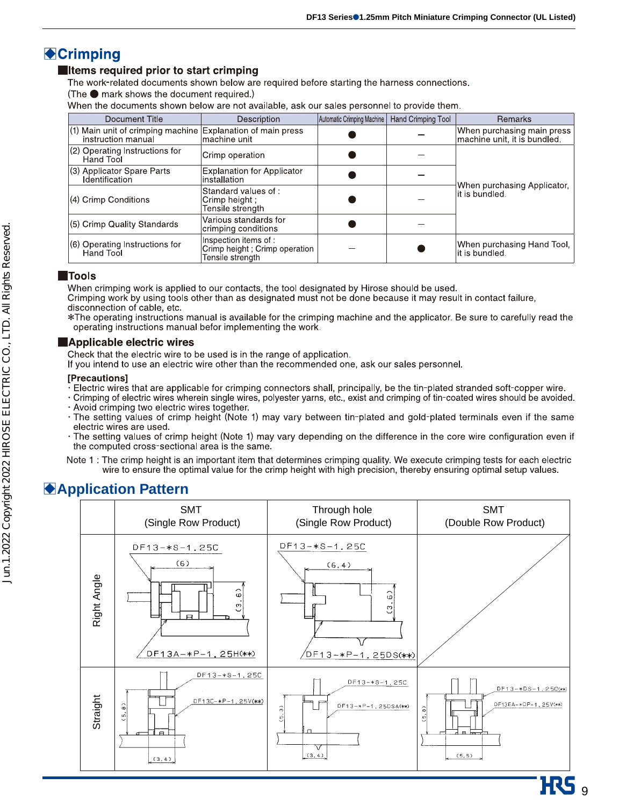### **Crimping**

#### Items required prior to start crimping

The work-related documents shown below are required before starting the harness connections.

(The ● mark shows the document required.)

When the documents shown below are not available, ask our sales personnel to provide them.

| Document Title                                                                      | Description                                                                 | Automatic Crimping Machine | Hand Crimping Tool | <b>Remarks</b>                                             |
|-------------------------------------------------------------------------------------|-----------------------------------------------------------------------------|----------------------------|--------------------|------------------------------------------------------------|
| $(1)$ Main unit of crimping machine Explanation of main press<br>instruction manual | lmachine unit                                                               |                            |                    | When purchasing main press<br>machine unit, it is bundled. |
| $(2)$ Operating Instructions for<br>Hand Tool                                       | Crimp operation                                                             |                            |                    |                                                            |
| (3) Applicator Spare Parts<br>Identification                                        | <b>Explanation for Applicator</b><br>linstallation                          |                            |                    | When purchasing Applicator,                                |
| (4) Crimp Conditions                                                                | Standard values of:<br>Crimp height :<br>Tensile strenath                   |                            |                    | it is bundled.                                             |
| (5) Crimp Quality Standards                                                         | Various standards for<br>crimping conditions                                |                            |                    |                                                            |
| (6) Operating Instructions for<br>Hand Tool                                         | Inspection items of :<br>Crimp height ; Crimp operation<br>Tensile strength |                            |                    | When purchasing Hand Tool,<br>it is bundled.               |

#### **Tools**

When crimping work is applied to our contacts, the tool designated by Hirose should be used.

Crimping work by using tools other than as designated must not be done because it may result in contact failure, disconnection of cable, etc.

\*The operating instructions manual is available for the crimping machine and the applicator. Be sure to carefully read the operating instructions manual befor implementing the work.

#### Applicable electric wires

Check that the electric wire to be used is in the range of application.

If you intend to use an electric wire other than the recommended one, ask our sales personnel.

#### **[Precautions]**

- Felectric wires that are applicable for crimping connectors shall, principally, be the tin-plated stranded soft-copper wire.
- · Crimping of electric wires wherein single wires, polyester yarns, etc., exist and crimping of tin-coated wires should be avoided.
- · Avoid crimping two electric wires together.
- · The setting values of crimp height (Note 1) may vary between tin-plated and gold-plated terminals even if the same electric wires are used.
- · The setting values of crimp height (Note 1) may vary depending on the difference in the core wire configuration even if the computed cross-sectional area is the same.
- Note 1 : The crimp height is an important item that determines crimping quality. We execute crimping tests for each electric wire to ensure the optimal value for the crimp height with high precision, thereby ensuring optimal setup values.

### B**Application Pattern**

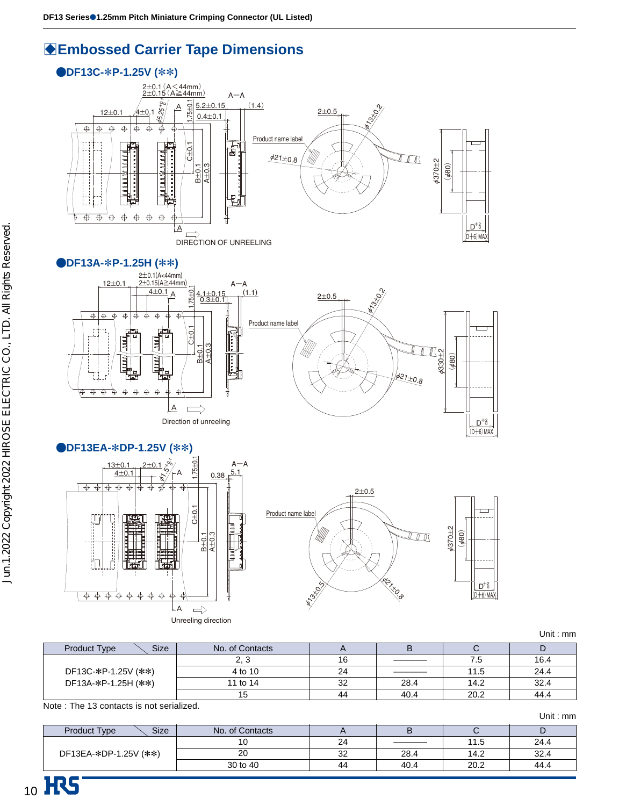### **BEmbossed Carrier Tape Dimensions**



#### K**DF13A-**\***P-1.25H (**\*\***)**







Unit : mm

|                                    |                 |    |      |      | <u>UIII : IIIII</u> |
|------------------------------------|-----------------|----|------|------|---------------------|
| <b>Size</b><br><b>Product Type</b> | No. of Contacts |    |      |      |                     |
|                                    |                 | 16 |      | 7.5  | 16.4                |
| DF13C-*P-1.25V (**)                | 4 to 10         | 24 |      | 11.5 | 24.4                |
| DF13A-*P-1.25H (**)                | 11 to 14        | 32 | 28.4 | 14.2 | 32.4                |
|                                    |                 | 44 | 40.4 | 20.2 | 44.4                |

Note : The 13 contacts is not serialized.

|                                    |                 |    |      |      | Unit: $mm$ |
|------------------------------------|-----------------|----|------|------|------------|
| <b>Size</b><br><b>Product Type</b> | No. of Contacts |    |      |      | D          |
|                                    |                 | 24 |      | 11.5 | 24.4       |
| DF13EA-*DP-1.25V (**)              | 20              | 32 | 28.4 | 14.2 | 32.4       |
|                                    | 30 to 40        | 44 | 40.4 | 20.2 | 44.4       |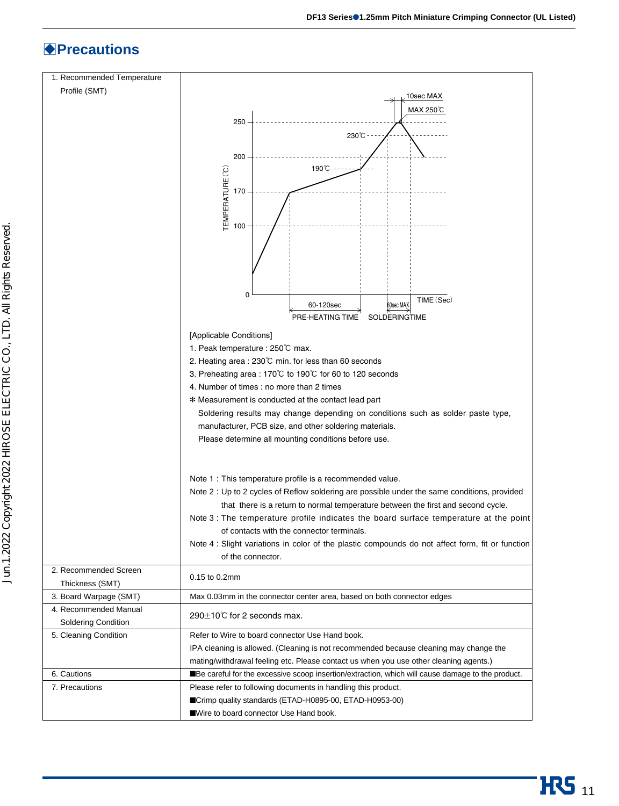### B**Precautions**